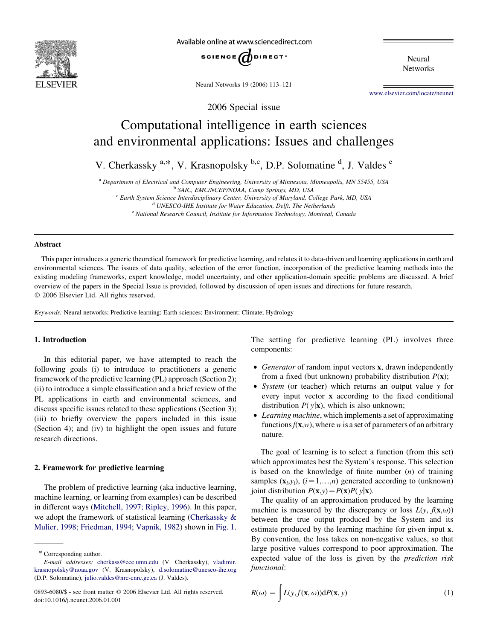

Available online at www.sciencedirect.com



Neural **Networks** 

Neural Networks 19 (2006) 113–121

[www.elsevier.com/locate/neunet](http://www.elsevier.com/locate/neunet)

2006 Special issue

# Computational intelligence in earth sciences and environmental applications: Issues and challenges

V. Cherkassky <sup>a,\*</sup>, V. Krasnopolsky <sup>b,c</sup>, D.P. Solomatine <sup>d</sup>, J. Valdes <sup>e</sup>

<sup>a</sup> Department of Electrical and Computer Engineering, University of Minnesota, Minneapolis, MN 55455, USA

<sup>c</sup> Earth System Science Interdisciplinary Center, University of Maryland, College Park, MD, USA

 $d$  UNESCO-IHE Institute for Water Education, Delft, The Netherlands

<sup>e</sup> National Research Council, Institute for Information Technology, Montreal, Canada

#### Abstract

This paper introduces a generic theoretical framework for predictive learning, and relates it to data-driven and learning applications in earth and environmental sciences. The issues of data quality, selection of the error function, incorporation of the predictive learning methods into the existing modeling frameworks, expert knowledge, model uncertainty, and other application-domain specific problems are discussed. A brief overview of the papers in the Special Issue is provided, followed by discussion of open issues and directions for future research.  $Q$  2006 Elsevier Ltd. All rights reserved.

Keywords: Neural networks; Predictive learning; Earth sciences; Environment; Climate; Hydrology

### 1. Introduction

In this editorial paper, we have attempted to reach the following goals (i) to introduce to practitioners a generic framework of the predictive learning (PL) approach (Section 2); (ii) to introduce a simple classification and a brief review of the PL applications in earth and environmental sciences, and discuss specific issues related to these applications (Section 3); (iii) to briefly overview the papers included in this issue (Section 4); and (iv) to highlight the open issues and future research directions.

### 2. Framework for predictive learning

The problem of predictive learning (aka inductive learning, machine learning, or learning from examples) can be described in different ways [\(Mitchell, 1997; Ripley, 1996](#page--1-0)). In this paper, we adopt the framework of statistical learning [\(Cherkassky &](#page--1-0) [Mulier, 1998; Friedman, 1994; Vapnik, 1982](#page--1-0)) shown in [Fig. 1](#page-1-0).

The setting for predictive learning (PL) involves three components:

- Generator of random input vectors x, drawn independently from a fixed (but unknown) probability distribution  $P(x)$ ;
- System (or teacher) which returns an output value  $y$  for every input vector x according to the fixed conditional distribution  $P(y|\mathbf{x})$ , which is also unknown;
- $\bullet$  *Learning machine,* which implements a set of approximating functions  $f(\mathbf{x},w)$ , where w is a set of parameters of an arbitrary nature.

The goal of learning is to select a function (from this set) which approximates best the System's response. This selection is based on the knowledge of finite number  $(n)$  of training samples  $(\mathbf{x}_i, y_i)$ ,  $(i=1,...,n)$  generated according to (unknown) joint distribution  $P(\mathbf{x}, y) = P(\mathbf{x})P(y|\mathbf{x})$ .

The quality of an approximation produced by the learning machine is measured by the discrepancy or loss  $L(y, f(x, \omega))$ between the true output produced by the System and its estimate produced by the learning machine for given input x. By convention, the loss takes on non-negative values, so that large positive values correspond to poor approximation. The expected value of the loss is given by the prediction risk functional:

$$
R(\omega) = \int L(y, f(\mathbf{x}, \omega)) \mathrm{d}P(\mathbf{x}, y) \tag{1}
$$

<sup>&</sup>lt;sup>b</sup> SAIC, EMC/NCEP/NOAA, Camp Springs, MD, USA

<sup>\*</sup> Corresponding author.

E-mail addresses: [cherkass@ece.umn.edu](mailto:cherkass@ece.umn.edu) (V. Cherkassky), [vladimir.](mailto:vladimir.krasnopolsky@noaa.gov) [krasnopolsky@noaa.gov](mailto:vladimir.krasnopolsky@noaa.gov) (V. Krasnopolsky), [d.solomatine@unesco-ihe.org](mailto:d.solomatine@unescohe.org) (D.P. Solomatine), [julio.valdes@nrc-cnrc.gc.ca](mailto:julio.valdes@nrcnrc.gc.ca) (J. Valdes).

<sup>0893-6080/\$ -</sup> see front matter © 2006 Elsevier Ltd. All rights reserved. doi:10.1016/j.neunet.2006.01.001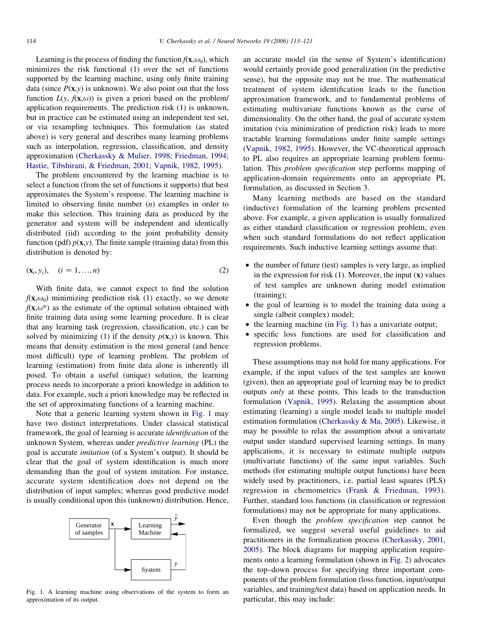<span id="page-1-0"></span>Learning is the process of finding the function  $f(\mathbf{x},\omega_0)$ , which minimizes the risk functional (1) over the set of functions supported by the learning machine, using only finite training data (since  $P(x,y)$  is unknown). We also point out that the loss function  $L(y, f(x, \omega))$  is given a priori based on the problem/ application requirements. The prediction risk (1) is unknown, but in practice can be estimated using an independent test set, or via resampling techniques. This formulation (as stated above) is very general and describes many learning problems such as interpolation, regression, classification, and density approximation ([Cherkassky & Mulier, 1998; Friedman, 1994;](#page--1-0) [Hastie, Tibshirani, & Friedman, 2001; Vapnik, 1982, 1995](#page--1-0)).

The problem encountered by the learning machine is to select a function (from the set of functions it supports) that best approximates the System's response. The learning machine is limited to observing finite number (n) examples in order to make this selection. This training data as produced by the generator and system will be independent and identically distributed (iid) according to the joint probability density function (pdf)  $p(x,y)$ . The finite sample (training data) from this distribution is denoted by:

$$
(\mathbf{x}_i, y_i), \quad (i = 1, ..., n)
$$
 (2)

With finite data, we cannot expect to find the solution  $f(\mathbf{x}, \omega_0)$  minimizing prediction risk (1) exactly, so we denote  $f(\mathbf{x}, \omega^*)$  as the estimate of the optimal solution obtained with finite training data using some learning procedure. It is clear that any learning task (regression, classification, etc.) can be solved by minimizing (1) if the density  $p(x,y)$  is known. This means that density estimation is the most general (and hence most difficult) type of learning problem. The problem of learning (estimation) from finite data alone is inherently ill posed. To obtain a useful (unique) solution, the learning process needs to incorporate a priori knowledge in addition to data. For example, such a priori knowledge may be reflected in the set of approximating functions of a learning machine.

Note that a generic learning system shown in Fig. 1 may have two distinct interpretations. Under classical statistical framework, the goal of learning is accurate identification of the unknown System, whereas under predictive learning (PL) the goal is accurate imitation (of a System's output). It should be clear that the goal of system identification is much more demanding than the goal of system imitation. For instance, accurate system identification does not depend on the distribution of input samples; whereas good predictive model is usually conditional upon this (unknown) distribution. Hence,



Fig. 1. A learning machine using observations of the system to form an approximation of its output.

an accurate model (in the sense of System's identification) would certainly provide good generalization (in the predictive sense), but the opposite may not be true. The mathematical treatment of system identification leads to the function approximation framework, and to fundamental problems of estimating multivariate functions known as the curse of dimensionality. On the other hand, the goal of accurate system imitation (via minimization of prediction risk) leads to more tractable learning formulations under finite sample settings [\(Vapnik, 1982, 1995](#page--1-0)). However, the VC-theoretical approach to PL also requires an appropriate learning problem formulation. This problem specification step performs mapping of application-domain requirements onto an appropriate PL formulation, as discussed in Section 3.

Many learning methods are based on the standard (inductive) formulation of the learning problem presented above. For example, a given application is usually formalized as either standard classification or regression problem, even when such standard formulations do not reflect application requirements. Such inductive learning settings assume that:

- the number of future (test) samples is very large, as implied in the expression for risk  $(1)$ . Moreover, the input  $(x)$  values of test samples are unknown during model estimation (training);
- the goal of learning is to model the training data using a single (albeit complex) model;
- $\bullet$  the learning machine (in Fig. 1) has a univariate output;
- specific loss functions are used for classification and regression problems.

These assumptions may not hold for many applications. For example, if the input values of the test samples are known (given), then an appropriate goal of learning may be to predict outputs only at these points. This leads to the transduction formulation ([Vapnik, 1995](#page--1-0)). Relaxing the assumption about estimating (learning) a single model leads to multiple model estimation formulation [\(Cherkassky & Ma, 2005](#page--1-0)). Likewise, it may be possible to relax the assumption about a univariate output under standard supervised learning settings. In many applications, it is necessary to estimate multiple outputs (multivariate functions) of the same input variables. Such methods (for estimating multiple output functions) have been widely used by practitioners, i.e. partial least squares (PLS) regression in chemometrics ([Frank & Friedman, 1993\)](#page--1-0). Further, standard loss functions (in classification or regression formulations) may not be appropriate for many applications.

Even though the problem specification step cannot be formalized, we suggest several useful guidelines to aid practitioners in the formalization process ([Cherkassky, 2001,](#page--1-0) [2005\)](#page--1-0). The block diagrams for mapping application requirements onto a learning formulation (shown in [Fig. 2](#page--1-0)) advocates the top–down process for specifying three important components of the problem formulation (loss function, input/output variables, and training/test data) based on application needs. In particular, this may include: